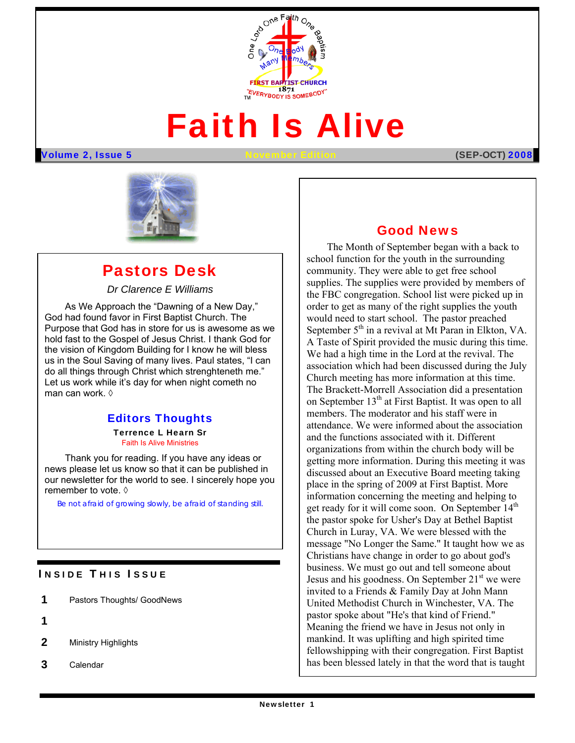

# Faith Is Alive

Volume 2, Issue 5 November Edition (SEP**-OCT)** 2008



## Pastors Desk

*Dr Clarence E Williams* 

 us in the Soul Saving of many lives. Paul states, "I can As We Approach the "Dawning of a New Day," God had found favor in First Baptist Church. The Purpose that God has in store for us is awesome as we hold fast to the Gospel of Jesus Christ. I thank God for the vision of Kingdom Building for I know he will bless do all things through Christ which strenghteneth me." Let us work while it's day for when night cometh no man can work. ◊

#### Editors Thoughts

Terrence L Hearn Sr Faith Is Alive Ministries

Thank you for reading. If you have any ideas or news please let us know so that it can be published in our newsletter for the world to see. I sincerely hope you remember to vote. ♦

*Be not afraid of growing slowly, be afraid of standing still.*

#### **INSIDE THIS ISSUE**

- 1 Pastors Thoughts/ GoodNews
- 1
- 2 Ministry Highlights
- 3 Calendar

#### Good News

 United Methodist Church in Winchester, VA. The The Month of September began with a back to school function for the youth in the surrounding community. They were able to get free school supplies. The supplies were provided by members of the FBC congregation. School list were picked up in order to get as many of the right supplies the youth would need to start school. The pastor preached September  $5<sup>th</sup>$  in a revival at Mt Paran in Elkton, VA. A Taste of Spirit provided the music during this time. We had a high time in the Lord at the revival. The association which had been discussed during the July Church meeting has more information at this time. The Brackett-Morrell Association did a presentation on September 13<sup>th</sup> at First Baptist. It was open to all members. The moderator and his staff were in attendance. We were informed about the association and the functions associated with it. Different organizations from within the church body will be getting more information. During this meeting it was discussed about an Executive Board meeting taking place in the spring of 2009 at First Baptist. More information concerning the meeting and helping to get ready for it will come soon. On September 14<sup>th</sup> the pastor spoke for Usher's Day at Bethel Baptist Church in Luray, VA. We were blessed with the message "No Longer the Same." It taught how we as Christians have change in order to go about god's business. We must go out and tell someone about Jesus and his goodness. On September  $21<sup>st</sup>$  we were invited to a Friends & Family Day at John Mann pastor spoke about "He's that kind of Friend." Meaning the friend we have in Jesus not only in mankind. It was uplifting and high spirited time fellowshipping with their congregation. First Baptist has been blessed lately in that the word that is taught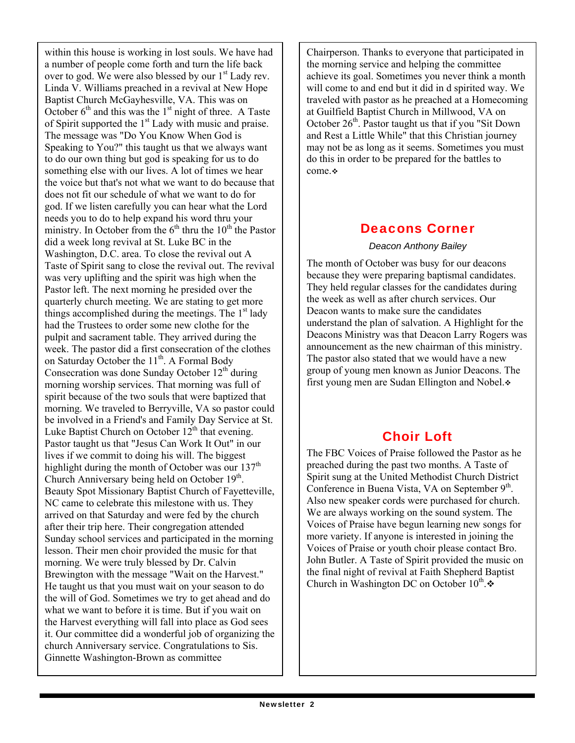within this house is working in lost souls. We have had a number of people come forth and turn the life back over to god. We were also blessed by our  $1<sup>st</sup>$  Lady rev. Linda V. Williams preached in a revival at New Hope Baptist Church McGayhesville, VA. This was on October  $6<sup>th</sup>$  and this was the 1<sup>st</sup> night of three. A Taste of Spirit supported the  $1<sup>st</sup>$  Lady with music and praise. The message was "Do You Know When God is Speaking to You?" this taught us that we always want to do our own thing but god is speaking for us to do something else with our lives. A lot of times we hear the voice but that's not what we want to do because that does not fit our schedule of what we want to do for god. If we listen carefully you can hear what the Lord needs you to do to help expand his word thru your ministry. In October from the  $6<sup>th</sup>$  thru the 10<sup>th</sup> the Pastor did a week long revival at St. Luke BC in the Washington, D.C. area. To close the revival out A Taste of Spirit sang to close the revival out. The revival was very uplifting and the spirit was high when the Pastor left. The next morning he presided over the quarterly church meeting. We are stating to get more things accomplished during the meetings. The  $1<sup>st</sup>$  lady had the Trustees to order some new clothe for the pulpit and sacrament table. They arrived during the week. The pastor did a first consecration of the clothes on Saturday October the 11<sup>th</sup>. A Formal Body Consecration was done Sunday October  $12<sup>th</sup>$  during morning worship services. That morning was full of spirit because of the two souls that were baptized that morning. We traveled to Berryville, VA so pastor could be involved in a Friend's and Family Day Service at St. Luke Baptist Church on October  $12^{th}$  that evening. Pastor taught us that "Jesus Can Work It Out" in our lives if we commit to doing his will. The biggest highlight during the month of October was our  $137<sup>th</sup>$ Church Anniversary being held on October 19<sup>th</sup>. Beauty Spot Missionary Baptist Church of Fayetteville, NC came to celebrate this milestone with us. They arrived on that Saturday and were fed by the church after their trip here. Their congregation attended Sunday school services and participated in the morning lesson. Their men choir provided the music for that morning. We were truly blessed by Dr. Calvin Brewington with the message "Wait on the Harvest." He taught us that you must wait on your season to do the will of God. Sometimes we try to get ahead and do what we want to before it is time. But if you wait on the Harvest everything will fall into place as God sees it. Our committee did a wonderful job of organizing the church Anniversary service. Congratulations to Sis. Ginnette Washington-Brown as committee

Chairperson. Thanks to everyone that participated in the morning service and helping the committee achieve its goal. Sometimes you never think a month will come to and end but it did in d spirited way. We traveled with pastor as he preached at a Homecoming at Guilfield Baptist Church in Millwood, VA on October  $26<sup>th</sup>$ . Pastor taught us that if you "Sit Down" and Rest a Little While" that this Christian journey may not be as long as it seems. Sometimes you must do this in order to be prepared for the battles to come.

## Deacons Corner

*Deacon Anthony Bailey* 

The month of October was busy for our deacons because they were preparing baptismal candidates. They held regular classes for the candidates during the week as well as after church services. Our Deacon wants to make sure the candidates understand the plan of salvation. A Highlight for the Deacons Ministry was that Deacon Larry Rogers was announcement as the new chairman of this ministry. The pastor also stated that we would have a new group of young men known as Junior Deacons. The first young men are Sudan Ellington and Nobel.

## Choir Loft

The FBC Voices of Praise followed the Pastor as he preached during the past two months. A Taste of Spirit sung at the United Methodist Church District Conference in Buena Vista, VA on September  $9<sup>th</sup>$ . Also new speaker cords were purchased for church. We are always working on the sound system. The Voices of Praise have begun learning new songs for more variety. If anyone is interested in joining the Voices of Praise or youth choir please contact Bro. John Butler. A Taste of Spirit provided the music on the final night of revival at Faith Shepherd Baptist Church in Washington DC on October  $10^{th}$ .